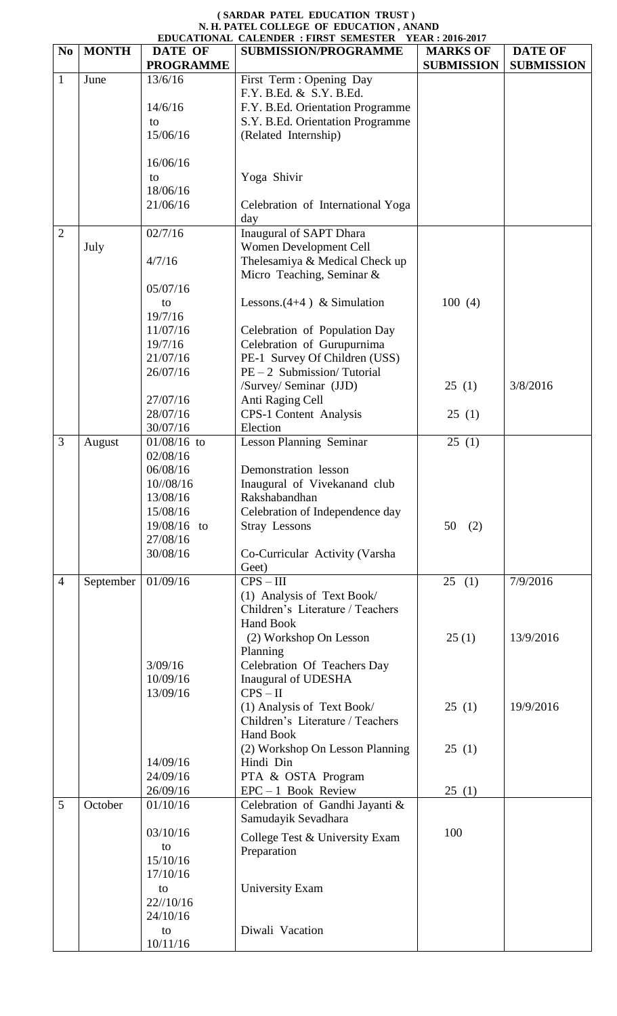|                |              |                  | EDUCATIONAL CALENDER : FIRST SEMESTER YEAR : 2016-2017 |                   |                   |  |  |
|----------------|--------------|------------------|--------------------------------------------------------|-------------------|-------------------|--|--|
| N <sub>0</sub> | <b>MONTH</b> | <b>DATE OF</b>   | <b>SUBMISSION/PROGRAMME</b>                            | <b>MARKS OF</b>   | <b>DATE OF</b>    |  |  |
|                |              | <b>PROGRAMME</b> |                                                        | <b>SUBMISSION</b> | <b>SUBMISSION</b> |  |  |
| $\mathbf{1}$   | June         | 13/6/16          | First Term : Opening Day                               |                   |                   |  |  |
|                |              |                  | F.Y. B.Ed. & S.Y. B.Ed.                                |                   |                   |  |  |
|                |              | 14/6/16          | F.Y. B.Ed. Orientation Programme                       |                   |                   |  |  |
|                |              | to               | S.Y. B.Ed. Orientation Programme                       |                   |                   |  |  |
|                |              | 15/06/16         | (Related Internship)                                   |                   |                   |  |  |
|                |              |                  |                                                        |                   |                   |  |  |
|                |              | 16/06/16         |                                                        |                   |                   |  |  |
|                |              | to               | Yoga Shivir                                            |                   |                   |  |  |
|                |              | 18/06/16         |                                                        |                   |                   |  |  |
|                |              | 21/06/16         | Celebration of International Yoga                      |                   |                   |  |  |
|                |              |                  | day                                                    |                   |                   |  |  |
| $\overline{2}$ |              | 02/7/16          | Inaugural of SAPT Dhara                                |                   |                   |  |  |
|                | July         |                  | Women Development Cell                                 |                   |                   |  |  |
|                |              | 4/7/16           | Thelesamiya & Medical Check up                         |                   |                   |  |  |
|                |              |                  | Micro Teaching, Seminar &                              |                   |                   |  |  |
|                |              | 05/07/16         |                                                        |                   |                   |  |  |
|                |              | to               | Lessons. $(4+4)$ & Simulation                          | 100(4)            |                   |  |  |
|                |              | 19/7/16          |                                                        |                   |                   |  |  |
|                |              | 11/07/16         | Celebration of Population Day                          |                   |                   |  |  |
|                |              | 19/7/16          | Celebration of Gurupurnima                             |                   |                   |  |  |
|                |              | 21/07/16         | PE-1 Survey Of Children (USS)                          |                   |                   |  |  |
|                |              | 26/07/16         | $PE-2$ Submission/Tutorial                             |                   |                   |  |  |
|                |              |                  | /Survey/ Seminar (JJD)                                 | 25(1)             | 3/8/2016          |  |  |
|                |              | 27/07/16         | Anti Raging Cell                                       |                   |                   |  |  |
|                |              | 28/07/16         | <b>CPS-1 Content Analysis</b>                          | 25(1)             |                   |  |  |
|                |              | 30/07/16         | Election                                               |                   |                   |  |  |
| 3              | August       | $01/08/16$ to    | <b>Lesson Planning Seminar</b>                         | 25(1)             |                   |  |  |
|                |              | 02/08/16         |                                                        |                   |                   |  |  |
|                |              | 06/08/16         | Demonstration lesson                                   |                   |                   |  |  |
|                |              | 10//08/16        | Inaugural of Vivekanand club                           |                   |                   |  |  |
|                |              | 13/08/16         | Rakshabandhan                                          |                   |                   |  |  |
|                |              | 15/08/16         | Celebration of Independence day                        |                   |                   |  |  |
|                |              | 19/08/16 to      | <b>Stray Lessons</b>                                   | 50<br>(2)         |                   |  |  |
|                |              | 27/08/16         |                                                        |                   |                   |  |  |
|                |              | 30/08/16         | Co-Curricular Activity (Varsha                         |                   |                   |  |  |
|                |              |                  | Geet)                                                  |                   |                   |  |  |
| $\overline{4}$ | September    | 01/09/16         | $CPS - III$                                            | 25(1)             | 7/9/2016          |  |  |
|                |              |                  | (1) Analysis of Text Book/                             |                   |                   |  |  |
|                |              |                  | Children's Literature / Teachers                       |                   |                   |  |  |
|                |              |                  | <b>Hand Book</b>                                       |                   |                   |  |  |
|                |              |                  | (2) Workshop On Lesson                                 | 25(1)             | 13/9/2016         |  |  |
|                |              |                  | Planning                                               |                   |                   |  |  |
|                |              | 3/09/16          | Celebration Of Teachers Day                            |                   |                   |  |  |
|                |              | 10/09/16         | Inaugural of UDESHA                                    |                   |                   |  |  |
|                |              | 13/09/16         | $CPS - II$                                             |                   |                   |  |  |
|                |              |                  | (1) Analysis of Text Book/                             | 25(1)             | 19/9/2016         |  |  |
|                |              |                  | Children's Literature / Teachers                       |                   |                   |  |  |
|                |              |                  | <b>Hand Book</b>                                       |                   |                   |  |  |
|                |              |                  | (2) Workshop On Lesson Planning                        | 25(1)             |                   |  |  |
|                |              | 14/09/16         | Hindi Din                                              |                   |                   |  |  |
|                |              | 24/09/16         | PTA & OSTA Program                                     |                   |                   |  |  |
|                |              | 26/09/16         | $EPC - 1$ Book Review                                  | 25(1)             |                   |  |  |
| 5              | October      | 01/10/16         | Celebration of Gandhi Jayanti &                        |                   |                   |  |  |
|                |              |                  | Samudayik Sevadhara                                    |                   |                   |  |  |
|                |              | 03/10/16         | College Test & University Exam                         | 100               |                   |  |  |
|                |              | to               | Preparation                                            |                   |                   |  |  |
|                |              | 15/10/16         |                                                        |                   |                   |  |  |
|                |              | 17/10/16         |                                                        |                   |                   |  |  |
|                |              | to               | University Exam                                        |                   |                   |  |  |
|                |              | $22^{1/10/16}$   |                                                        |                   |                   |  |  |
|                |              | 24/10/16         | Diwali Vacation                                        |                   |                   |  |  |
|                |              | to               |                                                        |                   |                   |  |  |
|                |              | 10/11/16         |                                                        |                   |                   |  |  |

## **( SARDAR PATEL EDUCATION TRUST ) N. H. PATEL COLLEGE OF EDUCATION , ANAND**